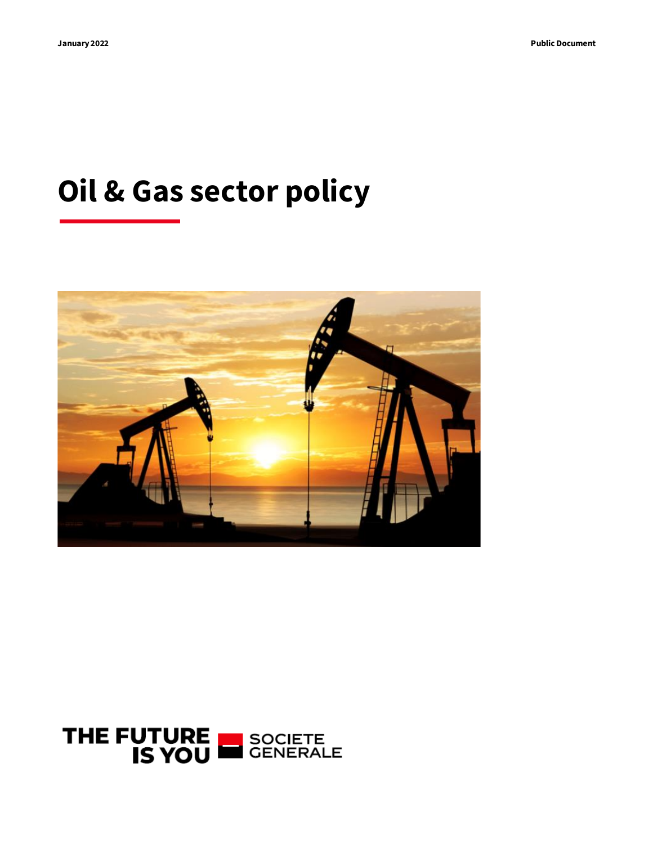# **Oil & Gas sector policy**



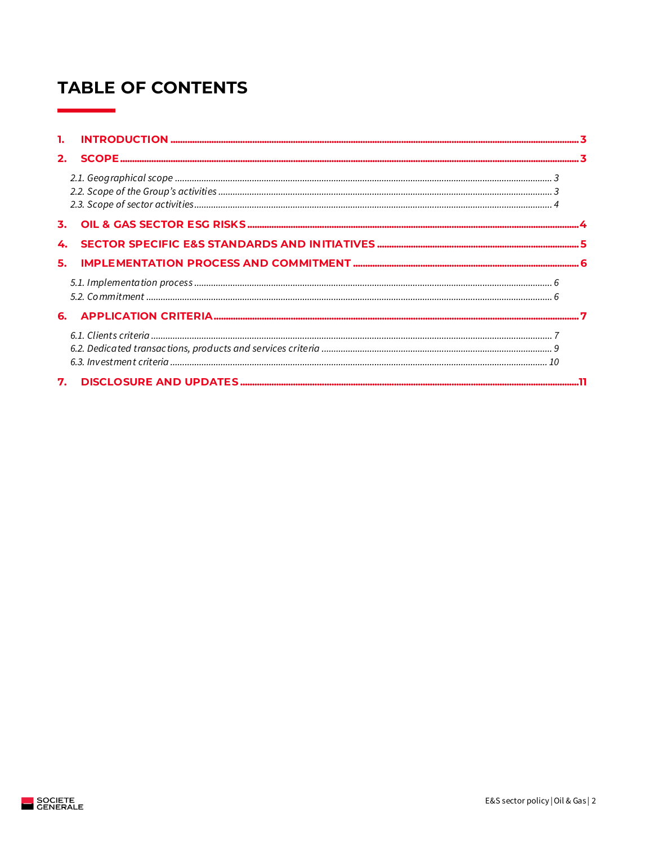# **TABLE OF CONTENTS**

| 1. |  |
|----|--|
| 2. |  |
|    |  |
| 3. |  |
|    |  |
| 5. |  |
|    |  |
|    |  |
|    |  |
| 7. |  |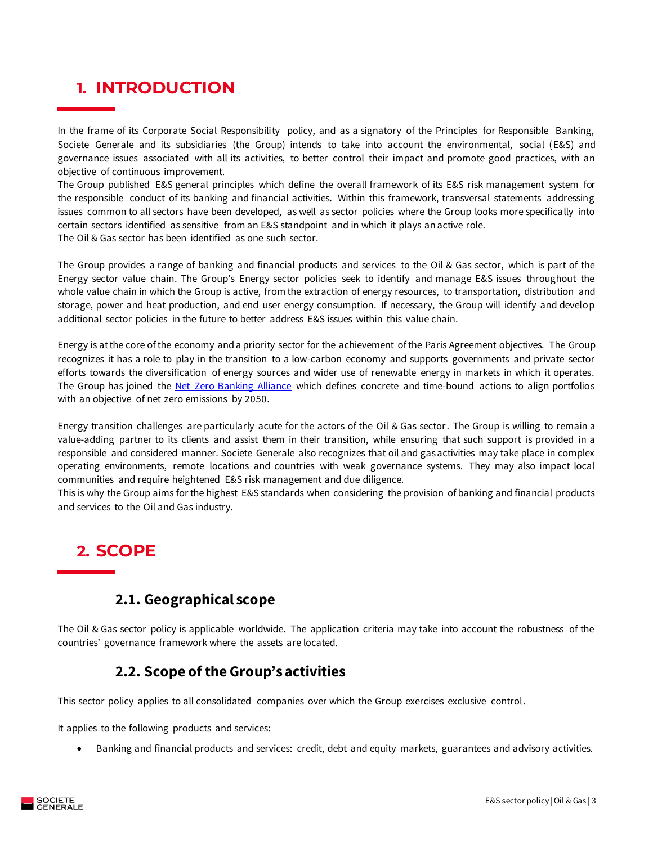### <span id="page-2-0"></span>**1. INTRODUCTION**

In the frame of its Corporate Social Responsibility policy, and as a signatory of the Principles for Responsible Banking, Societe Generale and its subsidiaries (the Group) intends to take into account the environmental, social (E&S) and governance issues associated with all its activities, to better control their impact and promote good practices, with an objective of continuous improvement.

The Group published E&S general principles which define the overall framework of its E&S risk management system for the responsible conduct of its banking and financial activities. Within this framework, transversal statements addressing issues common to all sectors have been developed, as well as sector policies where the Group looks more specifically into certain sectors identified as sensitive from an E&S standpoint and in which it plays an active role. The Oil & Gas sector has been identified as one such sector.

The Group provides a range of banking and financial products and services to the Oil & Gas sector, which is part of the Energy sector value chain. The Group's Energy sector policies seek to identify and manage E&S issues throughout the whole value chain in which the Group is active, from the extraction of energy resources, to transportation, distribution and storage, power and heat production, and end user energy consumption. If necessary, the Group will identify and develop additional sector policies in the future to better address E&S issues within this value chain.

Energy is at the core of the economy and a priority sector for the achievement of the Paris Agreement objectives. The Group recognizes it has a role to play in the transition to a low-carbon economy and supports governments and private sector efforts towards the diversification of energy sources and wider use of renewable energy in markets in which it operates. The Group has joined the [Net Zero Banking Alliance](https://www.unepfi.org/net-zero-banking/) which defines concrete and time-bound actions to align portfolios with an objective of net zero emissions by 2050.

Energy transition challenges are particularly acute for the actors of the Oil & Gas sector. The Group is willing to remain a value-adding partner to its clients and assist them in their transition, while ensuring that such support is provided in a responsible and considered manner. Societe Generale also recognizes that oil and gas activities may take place in complex operating environments, remote locations and countries with weak governance systems. They may also impact local communities and require heightened E&S risk management and due diligence.

This is why the Group aims for the highest E&S standards when considering the provision of banking and financial products and services to the Oil and Gas industry.

## <span id="page-2-1"></span>**2. SCOPE**

### **2.1. Geographical scope**

<span id="page-2-2"></span>The Oil & Gas sector policy is applicable worldwide. The application criteria may take into account the robustness of the countries' governance framework where the assets are located.

### **2.2. Scope of the Group's activities**

<span id="page-2-3"></span>This sector policy applies to all consolidated companies over which the Group exercises exclusive control.

It applies to the following products and services:

• Banking and financial products and services: credit, debt and equity markets, guarantees and advisory activities.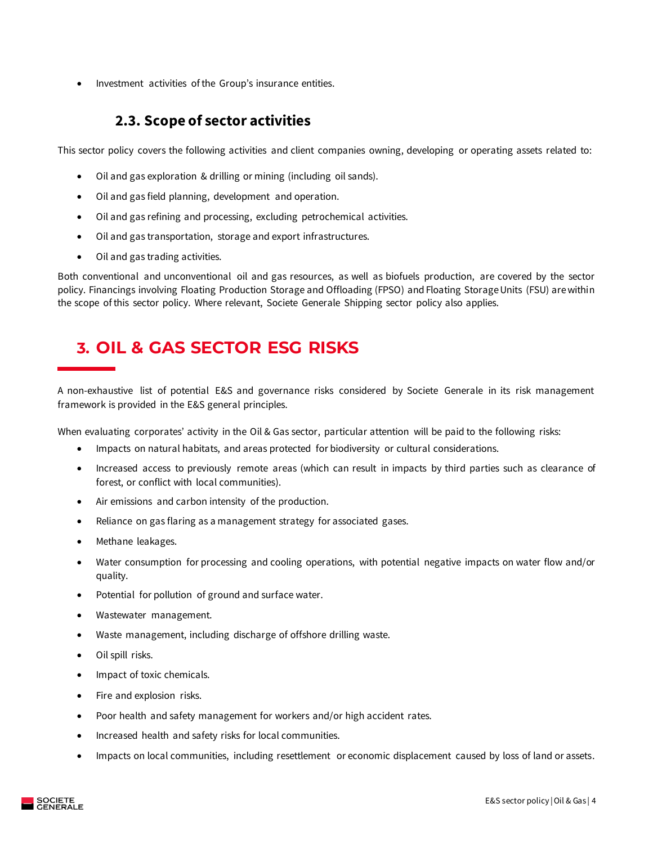• Investment activities of the Group's insurance entities.

### **2.3. Scope of sector activities**

<span id="page-3-0"></span>This sector policy covers the following activities and client companies owning, developing or operating assets related to:

- Oil and gas exploration & drilling or mining (including oil sands).
- Oil and gas field planning, development and operation.
- Oil and gas refining and processing, excluding petrochemical activities.
- Oil and gas transportation, storage and export infrastructures.
- Oil and gas trading activities.

Both conventional and unconventional oil and gas resources, as well as biofuels production, are covered by the sector policy. Financings involving Floating Production Storage and Offloading (FPSO) and Floating Storage Units (FSU) are within the scope of this sector policy. Where relevant, Societe Generale Shipping sector policy also applies.

# <span id="page-3-1"></span>**3. OIL & GAS SECTOR ESG RISKS**

A non-exhaustive list of potential E&S and governance risks considered by Societe Generale in its risk management framework is provided in the E&S general principles.

When evaluating corporates' activity in the Oil & Gas sector, particular attention will be paid to the following risks:

- Impacts on natural habitats, and areas protected for biodiversity or cultural considerations.
- Increased access to previously remote areas (which can result in impacts by third parties such as clearance of forest, or conflict with local communities).
- Air emissions and carbon intensity of the production.
- Reliance on gas flaring as a management strategy for associated gases.
- Methane leakages.
- Water consumption for processing and cooling operations, with potential negative impacts on water flow and/or quality.
- Potential for pollution of ground and surface water.
- Wastewater management.
- Waste management, including discharge of offshore drilling waste.
- Oil spill risks.
- Impact of toxic chemicals.
- Fire and explosion risks.
- Poor health and safety management for workers and/or high accident rates.
- Increased health and safety risks for local communities.
- Impacts on local communities, including resettlement or economic displacement caused by loss of land or assets.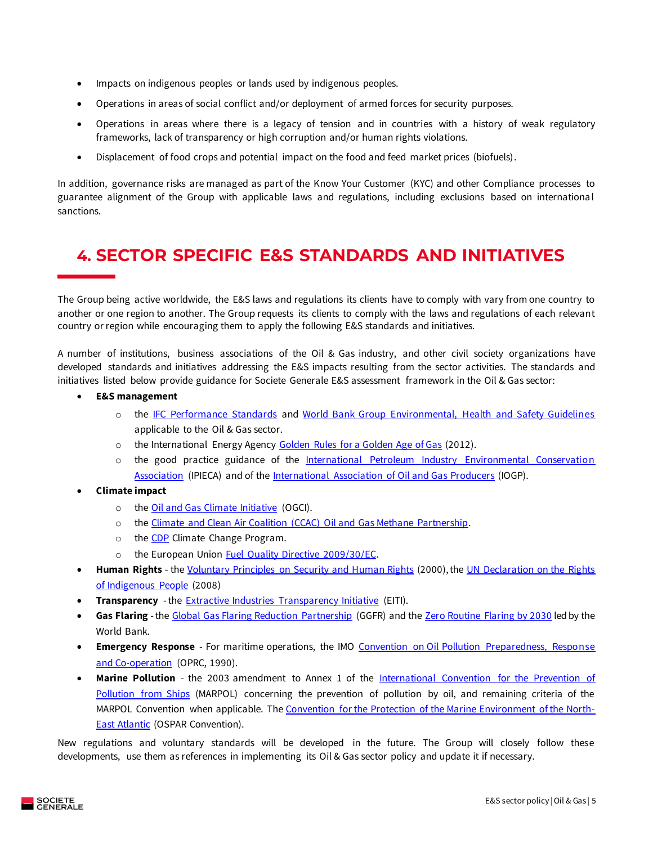- Impacts on indigenous peoples or lands used by indigenous peoples.
- Operations in areas of social conflict and/or deployment of armed forces for security purposes.
- Operations in areas where there is a legacy of tension and in countries with a history of weak regulatory frameworks, lack of transparency or high corruption and/or human rights violations.
- Displacement of food crops and potential impact on the food and feed market prices (biofuels).

In addition, governance risks are managed as part of the Know Your Customer (KYC) and other Compliance processes to guarantee alignment of the Group with applicable laws and regulations, including exclusions based on internationa l sanctions.

# <span id="page-4-0"></span>**4. SECTOR SPECIFIC E&S STANDARDS AND INITIATIVES**

The Group being active worldwide, the E&S laws and regulations its clients have to comply with vary from one country to another or one region to another. The Group requests its clients to comply with the laws and regulations of each relevant country or region while encouraging them to apply the following E&S standards and initiatives.

A number of institutions, business associations of the Oil & Gas industry, and other civil society organizations have developed standards and initiatives addressing the E&S impacts resulting from the sector activities. The standards and initiatives listed below provide guidance for Societe Generale E&S assessment framework in the Oil & Gas sector:

- **E&S management**
	- o the [IFC Performance Standards](https://www.ifc.org/wps/wcm/connect/Topics_Ext_Content/IFC_External_Corporate_Site/Sustainability-At-IFC/Policies-Standards/Performance-Standards) and [World Bank Group Environmental, Health and Safety Guidelines](https://www.ifc.org/wps/wcm/connect/topics_ext_content/ifc_external_corporate_site/sustainability-at-ifc/policies-standards/ehs-guidelines/) applicable to the Oil & Gas sector.
	- o the International Energy Agency [Golden Rules for a Golden Age of Gas](http://www.worldenergyoutlook.org/goldenrules/#d.en.27023) (2012).
	- o the good practice guidance of the International Petroleum Industry Environmental Conservation [Association](http://www.ipieca.org/) (IPIECA) and of th[e International Association of Oil and Gas Producers](https://www.iogp.org/) (IOGP).
- **Climate impact**
	- o the [Oil and Gas Climate Initiative](http://oilandgasclimateinitiative.com/) (OGCI).
	- o the [Climate and Clean Air Coalition \(CCAC\) Oil and Gas Methane Partnership.](http://www.ccacoalition.org/en/activity/ccac-oil-gas-methane-partnership)
	- o the **CDP** Climate Change Program.
	- o the European Union [Fuel Quality Directive 2009/30/EC.](http://eur-lex.europa.eu/LexUriServ/LexUriServ.do?uri=OJ:L:2009:140:0088:0113:EN:PDF)
- **Human Rights** th[e Voluntary Principles on Security and Human Rights](http://www.voluntaryprinciples.org/) (2000), th[e UN Declaration on the Rights](http://www.un.org/esa/socdev/unpfii/documents/DRIPS_en.pdf)  [of Indigenous People](http://www.un.org/esa/socdev/unpfii/documents/DRIPS_en.pdf) (2008)
- **Transparency** the **Extractive Industries Transparency Initiative** (EITI).
- Gas Flaring the [Global Gas Flaring Reduction Partnership](http://www.worldbank.org/en/programs/gasflaringreduction) (GGFR) and th[e Zero Routine Flaring by 2030](http://www.worldbank.org/en/programs/zero-routine-flaring-by-2030) led by the World Bank.
- **Emergency Response** For maritime operations, the IMO Convention on Oil Pollution Preparedness, Response [and Co-operation](https://www.imo.org/en/About/Conventions/Pages/International-Convention-on-Oil-Pollution-Preparedness,-Response-and-Co-operation-(OPRC).aspx) (OPRC, 1990).
- **Marine Pollution** the 2003 amendment to Annex 1 of the [International Convention for the Prevention of](https://www.imo.org/en/About/Conventions/Pages/International-Convention-for-the-Prevention-of-Pollution-from-Ships-(MARPOL).aspx)  [Pollution from Ships](https://www.imo.org/en/About/Conventions/Pages/International-Convention-for-the-Prevention-of-Pollution-from-Ships-(MARPOL).aspx) (MARPOL) concerning the prevention of pollution by oil, and remaining criteria of the MARPOL Convention when applicable. The [Convention for the Protection of the Marine Environment of the North-](https://www.ospar.org/convention/text)[East Atlantic](https://www.ospar.org/convention/text) (OSPAR Convention).

New regulations and voluntary standards will be developed in the future. The Group will closely follow these developments, use them as references in implementing its Oil & Gas sector policy and update it if necessary.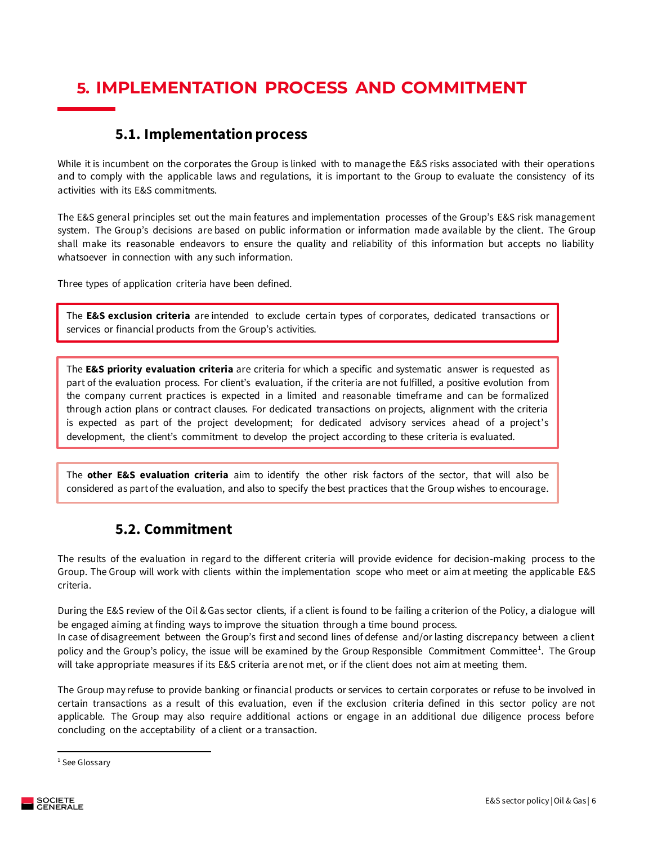# <span id="page-5-0"></span>**5. IMPLEMENTATION PROCESS AND COMMITMENT**

### **5.1. Implementation process**

<span id="page-5-1"></span>While it is incumbent on the corporates the Group is linked with to manage the E&S risks associated with their operations and to comply with the applicable laws and regulations, it is important to the Group to evaluate the consistency of its activities with its E&S commitments.

The E&S general principles set out the main features and implementation processes of the Group's E&S risk management system. The Group's decisions are based on public information or information made available by the client. The Group shall make its reasonable endeavors to ensure the quality and reliability of this information but accepts no liability whatsoever in connection with any such information.

Three types of application criteria have been defined.

The **E&S exclusion criteria** are intended to exclude certain types of corporates, dedicated transactions or services or financial products from the Group's activities.

The **E&S priority evaluation criteria** are criteria for which a specific and systematic answer is requested as part of the evaluation process. For client's evaluation, if the criteria are not fulfilled, a positive evolution from the company current practices is expected in a limited and reasonable timeframe and can be formalized through action plans or contract clauses. For dedicated transactions on projects, alignment with the criteria is expected as part of the project development; for dedicated advisory services ahead of a project's development, the client's commitment to develop the project according to these criteria is evaluated.

The **other E&S evaluation criteria** aim to identify the other risk factors of the sector, that will also be considered as part of the evaluation, and also to specify the best practices that the Group wishes to encourage.

### **5.2. Commitment**

<span id="page-5-2"></span>The results of the evaluation in regard to the different criteria will provide evidence for decision-making process to the Group. The Group will work with clients within the implementation scope who meet or aim at meeting the applicable E&S criteria.

During the E&S review of the Oil & Gas sector clients, if a client is found to be failing a criterion of the Policy, a dialogue will be engaged aiming at finding ways to improve the situation through a time bound process.

In case of disagreement between the Group's first and second lines of defense and/or lasting discrepancy between a client policy and the Group's policy, the issue will be examined by the Group Responsible Commitment Committee<sup>1</sup>. The Group will take appropriate measures if its E&S criteria are not met, or if the client does not aim at meeting them.

The Group may refuse to provide banking or financial products or services to certain corporates or refuse to be involved in certain transactions as a result of this evaluation, even if the exclusion criteria defined in this sector policy are not applicable. The Group may also require additional actions or engage in an additional due diligence process before concluding on the acceptability of a client or a transaction.

<sup>&</sup>lt;sup>1</sup> See Glossary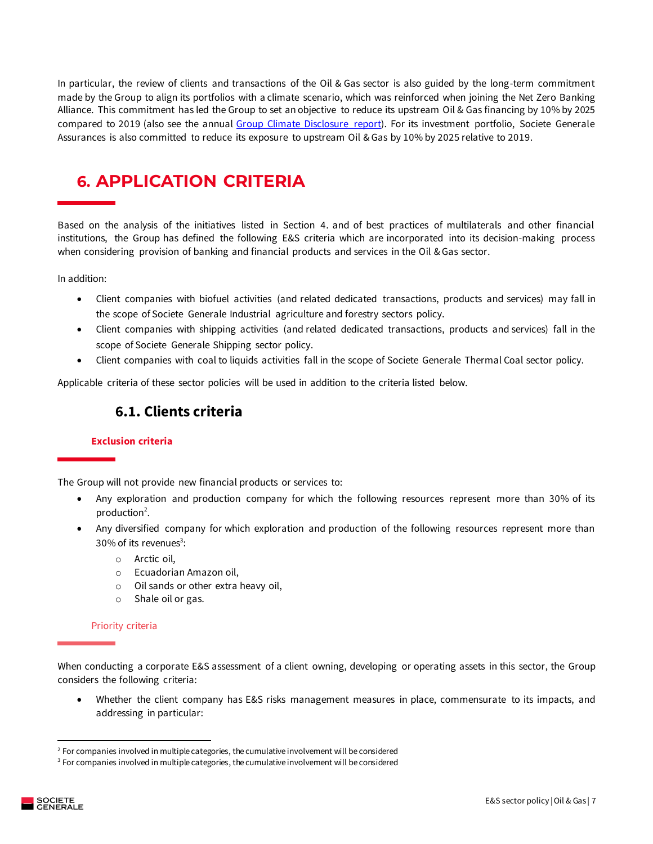In particular, the review of clients and transactions of the Oil & Gas sector is also guided by the long-term commitment made by the Group to align its portfolios with a climate scenario, which was reinforced when joining the Net Zero Banking Alliance. This commitment has led the Group to set an objective to reduce its upstream Oil & Gas financing by 10% by 2025 compared to 2019 (also see the annual [Group Climate Disclosure report\)](https://www.societegenerale.com/sites/default/files/documents/2020-10/climate-disclosure-report-20201027.pdf). For its investment portfolio, Societe Generale Assurances is also committed to reduce its exposure to upstream Oil & Gas by 10% by 2025 relative to 2019.

# <span id="page-6-0"></span>**6. APPLICATION CRITERIA**

Based on the analysis of the initiatives listed in Section 4. and of best practices of multilaterals and other financial institutions, the Group has defined the following E&S criteria which are incorporated into its decision-making process when considering provision of banking and financial products and services in the Oil & Gas sector.

In addition:

- Client companies with biofuel activities (and related dedicated transactions, products and services) may fall in the scope of Societe Generale Industrial agriculture and forestry sectors policy.
- Client companies with shipping activities (and related dedicated transactions, products and services) fall in the scope of Societe Generale Shipping sector policy.
- Client companies with coal to liquids activities fall in the scope of Societe Generale Thermal Coal sector policy.

<span id="page-6-1"></span>Applicable criteria of these sector policies will be used in addition to the criteria listed below.

### **6.1. Clients criteria**

#### **Exclusion criteria**

The Group will not provide new financial products or services to:

- Any exploration and production company for which the following resources represent more than 30% of its production<sup>2</sup>.
- Any diversified company for which exploration and production of the following resources represent more than  $30\%$  of its revenues<sup>3</sup>:
	- o Arctic oil,
	- o Ecuadorian Amazon oil,
	- o Oil sands or other extra heavy oil,
	- o Shale oil or gas.

#### Priority criteria

When conducting a corporate E&S assessment of a client owning, developing or operating assets in this sector, the Group considers the following criteria:

• Whether the client company has E&S risks management measures in place, commensurate to its impacts, and addressing in particular:

 $2$  For companies involved in multiple categories, the cumulative involvement will be considered

<sup>&</sup>lt;sup>3</sup> For companies involved in multiple categories, the cumulative involvement will be considered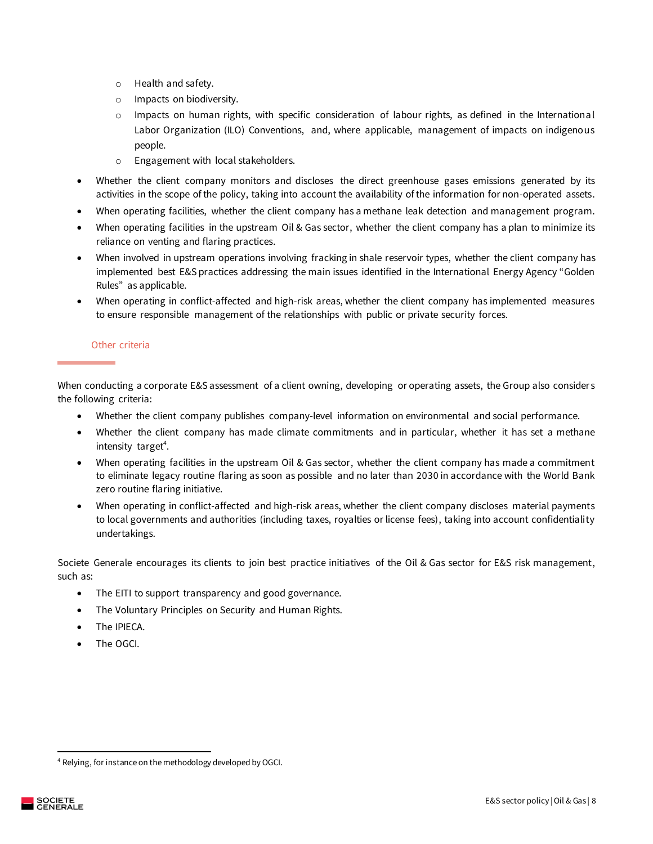- o Health and safety.
- o Impacts on biodiversity.
- $\circ$  Impacts on human rights, with specific consideration of labour rights, as defined in the International Labor Organization (ILO) Conventions, and, where applicable, management of impacts on indigenous people.
- o Engagement with local stakeholders.
- Whether the client company monitors and discloses the direct greenhouse gases emissions generated by its activities in the scope of the policy, taking into account the availability of the information for non-operated assets.
- When operating facilities, whether the client company has a methane leak detection and management program.
- When operating facilities in the upstream Oil & Gas sector, whether the client company has a plan to minimize its reliance on venting and flaring practices.
- When involved in upstream operations involving fracking in shale reservoir types, whether the client company has implemented best E&S practices addressing the main issues identified in the International Energy Agency "Golden Rules" as applicable.
- When operating in conflict-affected and high-risk areas, whether the client company has implemented measures to ensure responsible management of the relationships with public or private security forces.

#### Other criteria

When conducting a corporate E&S assessment of a client owning, developing or operating assets, the Group also considers the following criteria:

- Whether the client company publishes company-level information on environmental and social performance.
- Whether the client company has made climate commitments and in particular, whether it has set a methane intensity target<sup>4</sup>.
- When operating facilities in the upstream Oil & Gas sector, whether the client company has made a commitment to eliminate legacy routine flaring as soon as possible and no later than 2030 in accordance with the World Bank zero routine flaring initiative.
- When operating in conflict-affected and high-risk areas, whether the client company discloses material payments to local governments and authorities (including taxes, royalties or license fees), taking into account confidentiality undertakings.

Societe Generale encourages its clients to join best practice initiatives of the Oil & Gas sector for E&S risk management, such as:

- The EITI to support transparency and good governance.
- The Voluntary Principles on Security and Human Rights.
- The IPIECA.
- The OGCI.

<sup>4</sup> Relying, for instance on the methodology developed by OGCI.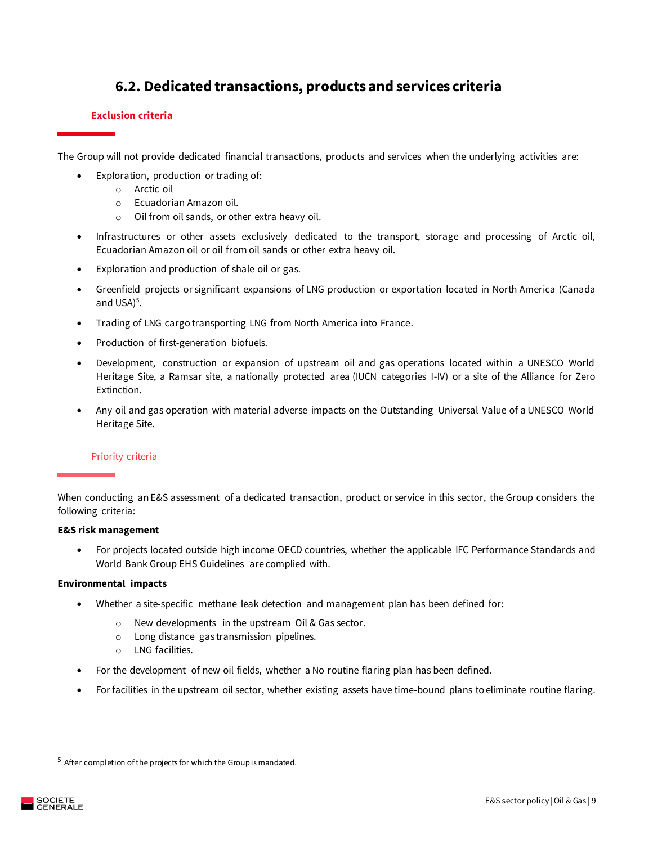### **6.2. Dedicated transactions, products and services criteria**

#### <span id="page-8-0"></span>**Exclusion criteria**

The Group will not provide dedicated financial transactions, products and services when the underlying activities are:

- Exploration, production or trading of:
	- o Arctic oil
	- o Ecuadorian Amazon oil.
	- o Oil from oil sands, or other extra heavy oil.
- Infrastructures or other assets exclusively dedicated to the transport, storage and processing of Arctic oil, Ecuadorian Amazon oil or oil from oil sands or other extra heavy oil.
- Exploration and production of shale oil or gas.
- Greenfield projects or significant expansions of LNG production or exportation located in North America (Canada and USA $)^5$ .
- Trading of LNG cargo transporting LNG from North America into France.
- Production of first-generation biofuels.
- Development, construction or expansion of upstream oil and gas operations located within a UNESCO World Heritage Site, a Ramsar site, a nationally protected area (IUCN categories I-IV) or a site of the Alliance for Zero Extinction.
- Any oil and gas operation with material adverse impacts on the Outstanding Universal Value of a UNESCO World Heritage Site.

#### Priority criteria

When conducting an E&S assessment of a dedicated transaction, product or service in this sector, the Group considers the following criteria:

#### **E&S risk management**

• For projects located outside high income OECD countries, whether the applicable IFC Performance Standards and World Bank Group EHS Guidelines are complied with.

#### **Environmental impacts**

- Whether a site-specific methane leak detection and management plan has been defined for:
	- o New developments in the upstream Oil & Gas sector.
	- o Long distance gas transmission pipelines.
	- o LNG facilities.
- For the development of new oil fields, whether a No routine flaring plan has been defined.
- For facilities in the upstream oil sector, whether existing assets have time-bound plans to eliminate routine flaring.

 $5$  After completion of the projects for which the Group is mandated.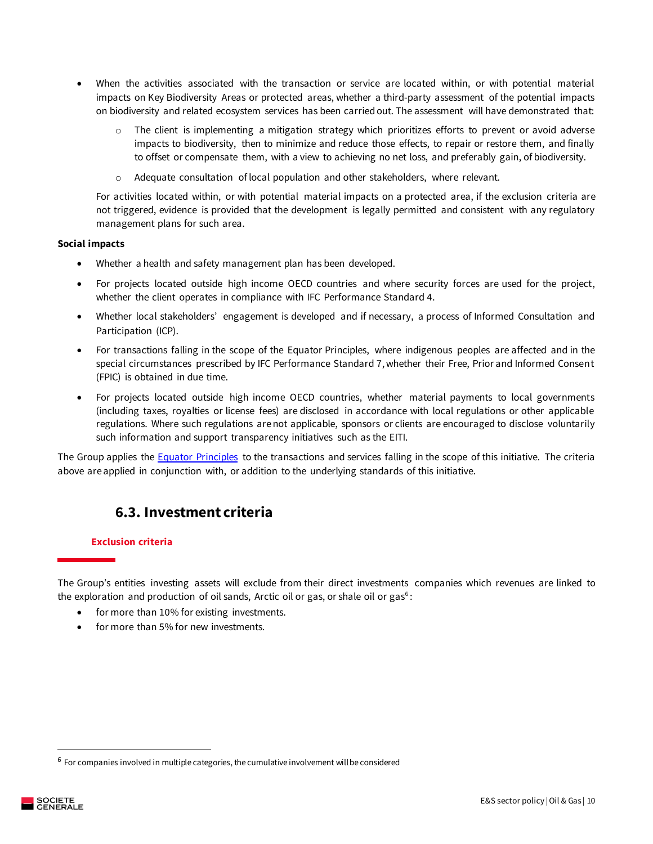- When the activities associated with the transaction or service are located within, or with potential material impacts on Key Biodiversity Areas or protected areas, whether a third-party assessment of the potential impacts on biodiversity and related ecosystem services has been carried out. The assessment will have demonstrated that:
	- $\circ$  The client is implementing a mitigation strategy which prioritizes efforts to prevent or avoid adverse impacts to biodiversity, then to minimize and reduce those effects, to repair or restore them, and finally to offset or compensate them, with a view to achieving no net loss, and preferably gain, of biodiversity.
	- $\circ$  Adequate consultation of local population and other stakeholders, where relevant.

For activities located within, or with potential material impacts on a protected area, if the exclusion criteria are not triggered, evidence is provided that the development is legally permitted and consistent with any regulatory management plans for such area.

#### **Social impacts**

- Whether a health and safety management plan has been developed.
- For projects located outside high income OECD countries and where security forces are used for the project, whether the client operates in compliance with IFC Performance Standard 4.
- Whether local stakeholders' engagement is developed and if necessary, a process of Informed Consultation and Participation (ICP).
- For transactions falling in the scope of the Equator Principles, where indigenous peoples are affected and in the special circumstances prescribed by IFC Performance Standard 7, whether their Free, Prior and Informed Consent (FPIC) is obtained in due time.
- For projects located outside high income OECD countries, whether material payments to local governments (including taxes, royalties or license fees) are disclosed in accordance with local regulations or other applicable regulations. Where such regulations are not applicable, sponsors or clients are encouraged to disclose voluntarily such information and support transparency initiatives such as the EITI.

The Group applies the **Equator Principles** to the transactions and services falling in the scope of this initiative. The criteria above are applied in conjunction with, or addition to the underlying standards of this initiative.

### **6.3. Investment criteria**

#### <span id="page-9-0"></span>**Exclusion criteria**

The Group's entities investing assets will exclude from their direct investments companies which revenues are linked to the exploration and production of oil sands, Arctic oil or gas, or shale oil or gas $6$ :

- for more than 10% for existing investments.
- for more than 5% for new investments.

 $6$  For companies involved in multiple categories, the cumulative involvement will be considered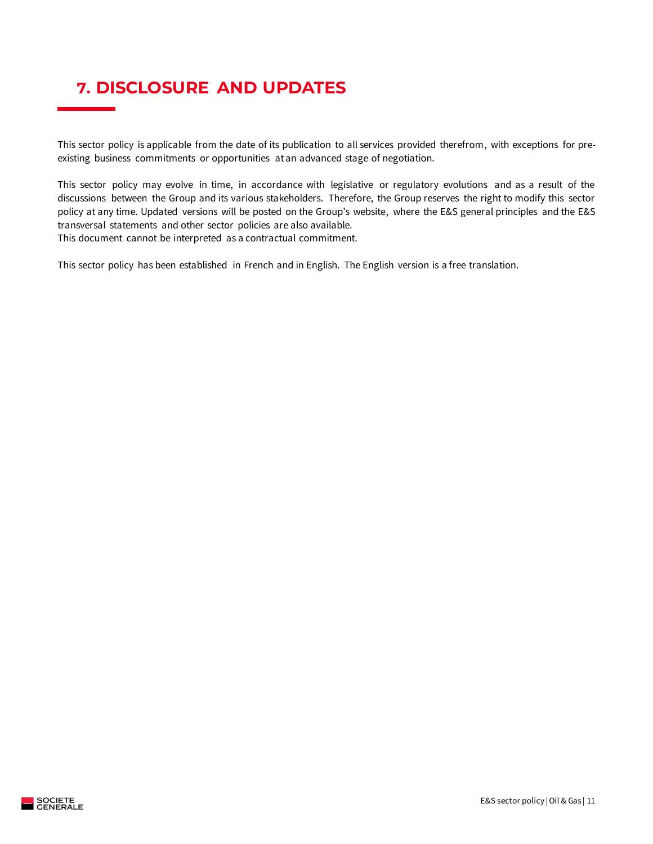# <span id="page-10-0"></span>**7. DISCLOSURE AND UPDATES**

This sector policy is applicable from the date of its publication to all services provided therefrom, with exceptions for preexisting business commitments or opportunities at an advanced stage of negotiation.

This sector policy may evolve in time, in accordance with legislative or regulatory evolutions and as a result of the discussions between the Group and its various stakeholders. Therefore, the Group reserves the right to modify this sector policy at any time. Updated versions will be posted on the Group's website, where the E&S general principles and the E&S transversal statements and other sector policies are also available. This document cannot be interpreted as a contractual commitment.

This sector policy has been established in French and in English. The English version is a free translation.